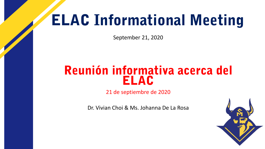## ELAC Informational Meeting

September 21, 2020

### Reunión informativa acerca del ELAC

21 de septiembre de 2020

Dr. Vivian Choi & Ms. Johanna De La Rosa

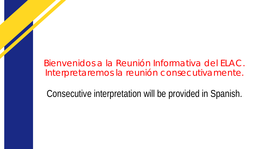Bienvenidos a la Reunión Informativa del ELAC. Interpretaremos la reunión consecutivamente.

Consecutive interpretation will be provided in Spanish.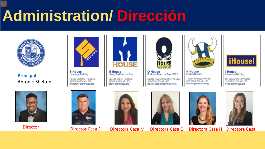# **Administration/ Dirección**



**Principal** Antonio Shelton



**S** House **Language Building** Hector Medrano, Principal 310-395-3204 x71269 hmedrano@smmusd.org



**M** House History Building, 1st floor

Lissette Bravo, Principal 310-395-3204 x71554 lbravo@smmusd.org



**O** House Business Bldg., 1st floor, B122

Lauren Paule Sheahan, Principal 310-395-3204 x71480 lpaulesheahan@smmusd.org



**English Building** 

Tristan Komlos, Principal

310-395-3204 x71136

tkomlos@smmusd.org

**iHouse!** 

**I House Innovation Building** 

Dr. Vivian Choi, Principal 310-395-3204 x71229 vchol@smmusd.org















Director Director Casa S Directora Casa M Directora Casa O Directora Casa H Directora Casa I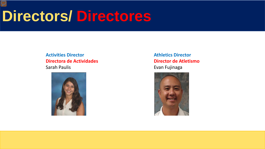## **Directors/ Directores**

#### **Activities Director Directora de Actividades** Sarah Paulis



**Athletics Director Director de Atletismo** Evan Fujinaga

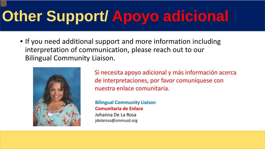# **Other Support/ Apoyo adicional**

• If you need additional support and more information including interpretation of communication, please reach out to our Bilingual Community Liaison.



Si necesita apoyo adicional y más información acerca de interpretaciones, por favor comuníquese con nuestra enlace comunitaria.

**Bilingual Community Liaison Comunitaria de Enlace** 

Johanna De La Rosa jdelarosa@smmusd.org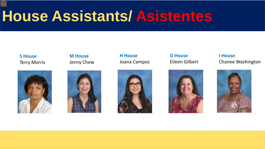## **House Assistants/ Asistentes**

**S House** Terry Morris



**M House** Jenny Chew



**H House** Joana Campos



**O House** Eileen Gilbert



**I House** Chanee Washington

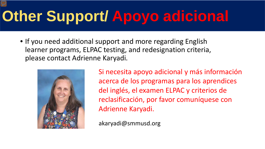# **Other Support/ Apoyo adicional**

• If you need additional support and more regarding English learner programs, ELPAC testing, and redesignation criteria, please contact Adrienne Karyadi.



Si necesita apoyo adicional y más información acerca de los programas para los aprendices del inglés, el examen ELPAC y criterios de reclasificación, por favor comuníquese con Adrienne Karyadi.

akaryadi@smmusd.org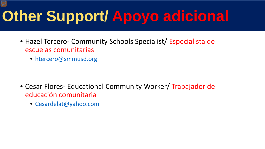# **Other Support/ Apoyo adicional**

- Hazel Tercero- Community Schools Specialist/ Especialista de escuelas comunitarias
	- [htercero@smmusd.org](mailto:htercero@smmusd.org)

- Cesar Flores- Educational Community Worker/ Trabajador de educación comunitaria
	- [Cesardelat@yahoo.com](mailto:Cesardelat@yahoo.com)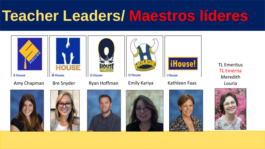## **[Teacher Leaders/ Maestros líderes](https://youtu.be/t_2mRFO-5r4)**















TL Emeritus TL Emérita Meredith Louria









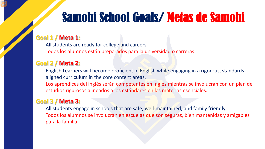## Samohi School Goals/ Metas de Samohi

#### **Goal 1 / Meta 1:**

All students are ready for college and careers. Todos los alumnos están preparados para la universidad o carreras

#### **Goal 2 / Meta 2:**

English Learners will become proficient in English while engaging in a rigorous, standardsaligned curriculum in the core content areas.

Los aprendices del inglés serán competentes en inglés mientras se involucran con un plan de estudios rigurosos alineados a los estándares en las materias esenciales.

#### **Goal 3 / Meta 3:**

All students engage in schools that are safe, well-maintained, and family friendly. Todos los alumnos se involucran en escuelas que son seguras, bien mantenidas y amigables para la familia.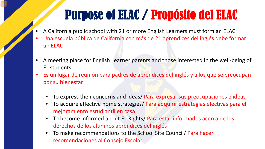## Purpose of ELAC / Propósito del ELAC

- A California public school with 21 or more English Learners must form an ELAC
- Una escuela pública de California con más de 21 aprendices del inglés debe formar un ELAC
- A meeting place for English Learner parents and those interested in the well-being of EL students:
- Es un lugar de reunión para padres de aprendices del inglés y a los que se preocupan por su bienestar:
	- To express their concerns and ideas/ Para expresar sus preocupaciones e ideas
	- To acquire effective home strategies/ Para adquirir estrategias efectivas para el mejoramiento estudiantil en casa
	- To become informed about EL Rights/ Para estar informados acerca de los derechos de los alumnos aprendices del inglés
	- To make recommendations to the School Site Council/ Para hacer recomendaciones al Consejo Escolar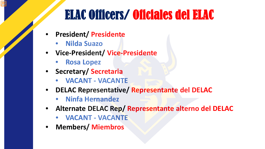## ELAC Officers/ Oficiales del ELAC

- **President/ Presidente** 
	- **Nilda Suazo**
- **Vice-President/ Vice-Presidente**
	- **Rosa Lopez**
- **Secretary/ Secretaria**
	- **VACANT - VACANTE**
- **DELAC Representative/ Representante del DELAC**
	- **Ninfa Hernandez**
- **Alternate DELAC Rep/ Representante alterno del DELAC**
	- **VACANT - VACANTE**
- **Members/ Miembros**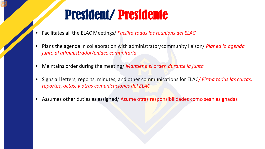### President/ Presidente

- Facilitates all the ELAC Meetings/ *Facilita todas las reunions del ELAC*
- Plans the agenda in collaboration with administrator/community liaison/ *Planea la agenda junto al administrador/enlace comunitaria*
- Maintains order during the meeting/ *Mantiene el orden durante la junta*
- Signs all letters, reports, minutes, and other communications for ELAC*/ Firma todas las cartas, reportes, actas, y otras comunicaciones del ELAC*
- Assumes other duties as assigned/ Asume otras responsibilidades como sean asignadas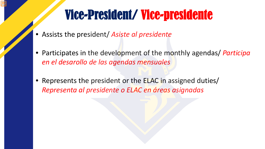## Vice-President/ Vice-presidente

- Assists the president/ *Asiste al presidente*
- Participates in the development of the monthly agendas/ *Participa en el desarollo de las agendas mensuales*
- Represents the president or the **ELAC** in assigned duties/ *Representa al presidente o ELAC en áreas asignadas*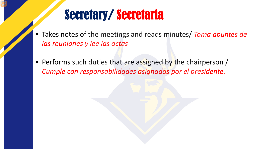### Secretary/ Secretaria

- Takes notes of the meetings and reads minutes/ *Toma apuntes de las reuniones y lee las actas*
- Performs such duties that are assigned by the chairperson / *Cumple con responsabilidades asignadas por el presidente.*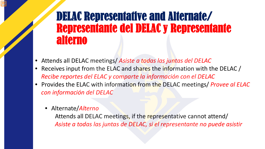### DELAC Representative and Alternate/ Representante del DELAC y Representante alterno

- Attends all DELAC meetings/ *Asiste a todas las juntas del DELAC*
- Receives input from the ELAC and shares the information with the DELAC / *Recibe reportes del ELAC y comparte la información con el DELAC*
- Provides the ELAC with information from the DELAC meetings/ *Provee al ELAC con información del DELAC*
	- Alternate/*Alterno*

Attends all DELAC meetings, if the representative cannot attend/ *Asiste a todas las juntas de DELAC, si el representante no puede asistir*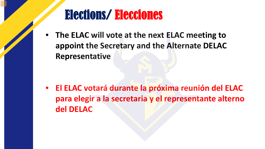### Elections/ Elecciones

• **The ELAC will vote at the next ELAC meeting to appoint the Secretary and the Alternate DELAC Representative**

• **El ELAC votará durante la próxima reunión del ELAC para elegir a la secretaria y el representante alterno del DELAC**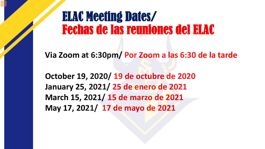### ELAC Meeting Dates/ Fechas de las reuniones del ELAC

**Via Zoom at 6:30pm/ Por Zoom a las 6:30 de la tarde**

**October 19, 2020/ 19 de octubre de 2020 January 25, 2021/ 25 de enero de 2021 March 15, 2021/ 15 de marzo de 2021 May 17, 2021/ 17 de mayo de 2021**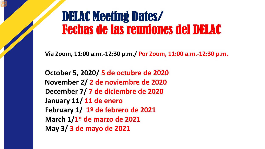### DELAC Meeting Dates/ Fechas de las reuniones del DELAC

**Via Zoom, 11:00 a.m.-12:30 p.m./ Por Zoom, 11:00 a.m.-12:30 p.m.** 

**October 5, 2020/ 5 de octubre de 2020 November 2/ 2 de noviembre de 2020 December 7/ 7 de diciembre de 2020 January 11/ 11 de enero February 1/ 1º de febrero de 2021 March 1/1º de marzo de 2021 May 3/ 3 de mayo de 2021**